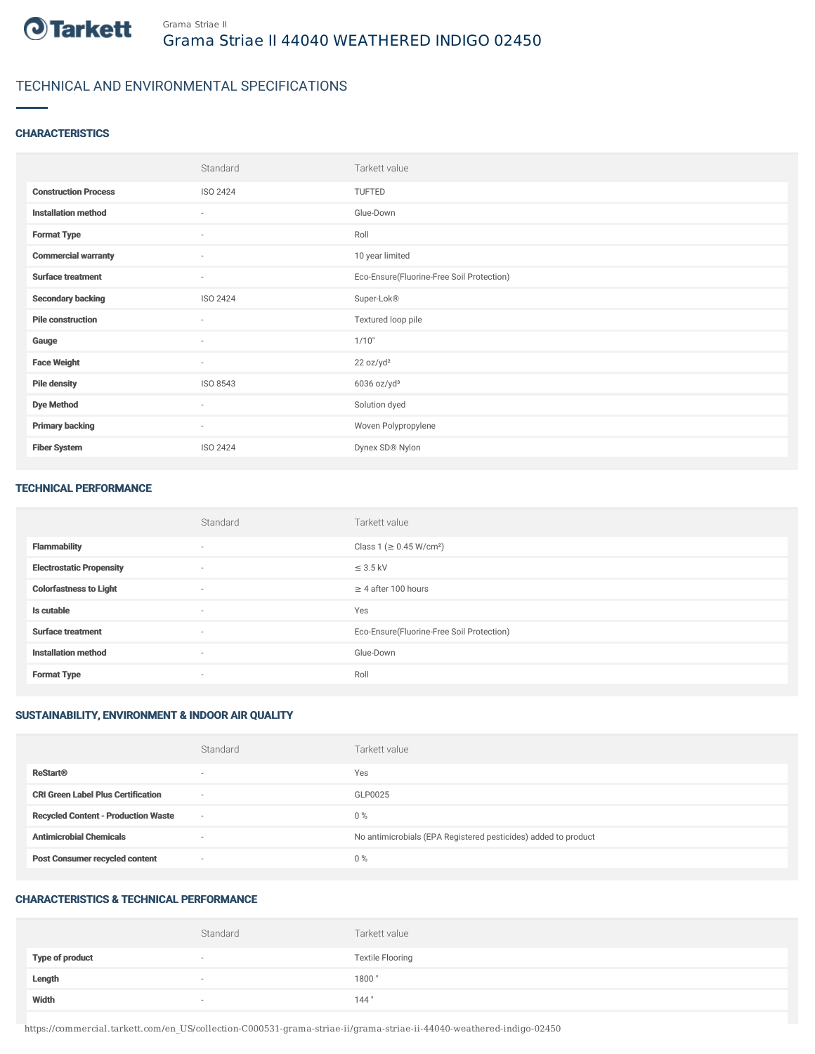

# TECHNICAL AND ENVIRONMENTAL SPECIFICATIONS

## **CHARACTERISTICS**

|                             | Standard                 | Tarkett value                             |
|-----------------------------|--------------------------|-------------------------------------------|
| <b>Construction Process</b> | ISO 2424                 | TUFTED                                    |
| <b>Installation method</b>  | ٠                        | Glue-Down                                 |
| <b>Format Type</b>          | $\sim$                   | Roll                                      |
| <b>Commercial warranty</b>  | $\sim$                   | 10 year limited                           |
| <b>Surface treatment</b>    | $\overline{\phantom{a}}$ | Eco-Ensure(Fluorine-Free Soil Protection) |
| <b>Secondary backing</b>    | ISO 2424                 | Super-Lok®                                |
| <b>Pile construction</b>    | $\sim$                   | Textured loop pile                        |
| Gauge                       | ٠                        | 1/10"                                     |
| <b>Face Weight</b>          | $\overline{\phantom{a}}$ | 22 oz/yd <sup>2</sup>                     |
| <b>Pile density</b>         | ISO 8543                 | $6036$ oz/yd <sup>3</sup>                 |
| <b>Dye Method</b>           | ٠                        | Solution dyed                             |
| <b>Primary backing</b>      | $\overline{\phantom{a}}$ | Woven Polypropylene                       |
| <b>Fiber System</b>         | ISO 2424                 | Dynex SD® Nylon                           |

#### TECHNICAL PERFORMANCE

|                                 | Standard | Tarkett value                             |
|---------------------------------|----------|-------------------------------------------|
| <b>Flammability</b>             | $\sim$   | Class 1 ( $\geq$ 0.45 W/cm <sup>2</sup> ) |
| <b>Electrostatic Propensity</b> | $\sim$   | $\leq$ 3.5 kV                             |
| <b>Colorfastness to Light</b>   | $\sim$   | $\geq$ 4 after 100 hours                  |
| Is cutable                      | $\sim$   | Yes                                       |
| <b>Surface treatment</b>        | $\sim$   | Eco-Ensure(Fluorine-Free Soil Protection) |
| <b>Installation method</b>      | $\sim$   | Glue-Down                                 |
| <b>Format Type</b>              | $\sim$   | Roll                                      |

## SUSTAINABILITY, ENVIRONMENT & INDOOR AIR QUALITY

|                                            | Standard                 | Tarkett value                                                  |
|--------------------------------------------|--------------------------|----------------------------------------------------------------|
| <b>ReStart®</b>                            | $\overline{\phantom{a}}$ | Yes                                                            |
| <b>CRI Green Label Plus Certification</b>  | $\sim$                   | GLP0025                                                        |
| <b>Recycled Content - Production Waste</b> | $\sim$                   | $0\%$                                                          |
| <b>Antimicrobial Chemicals</b>             | $\overline{\phantom{a}}$ | No antimicrobials (EPA Registered pesticides) added to product |
| <b>Post Consumer recycled content</b>      | $\overline{\phantom{a}}$ | $0\%$                                                          |

## CHARACTERISTICS & TECHNICAL PERFORMANCE

|                        | Standard                 | Tarkett value           |
|------------------------|--------------------------|-------------------------|
| <b>Type of product</b> | $\sim$                   | <b>Textile Flooring</b> |
| Length                 | $\overline{\phantom{a}}$ | 1800"                   |
| Width                  | $\overline{\phantom{a}}$ | 144"                    |

https://commercial.tarkett.com/en\_US/collection-C000531-grama-striae-ii/grama-striae-ii-44040-weathered-indigo-02450